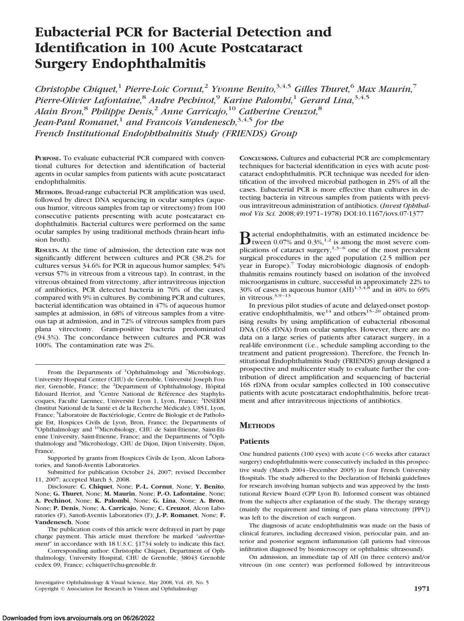# **Eubacterial PCR for Bacterial Detection and Identification in 100 Acute Postcataract Surgery Endophthalmitis**

*Christophe Chiquet,*<sup>1</sup> *Pierre-Loic Cornut,*<sup>2</sup> *Yvonne Benito,*3,4,5 *Gilles Thuret,*<sup>6</sup> *Max Maurin,*<sup>7</sup> *Pierre-Olivier Lafontaine,*<sup>8</sup> *Andre Pechinot,*<sup>9</sup> *Karine Palombi,*<sup>1</sup> *Gerard Lina,*3,4,5 *Alain Bron,*<sup>8</sup> *Philippe Denis,*<sup>2</sup> *Anne Carricajo,*<sup>10</sup> *Catherine Creuzot,*<sup>8</sup> *Jean-Paul Romanet,*<sup>1</sup> *and Francois Vandenesch,*3,4,5 *for the French Institutional Endophthalmitis Study (FRIENDS) Group*

**PURPOSE.** To evaluate eubacterial PCR compared with conventional cultures for detection and identification of bacterial agents in ocular samples from patients with acute postcataract endophthalmitis.

**METHODS.** Broad-range eubacterial PCR amplification was used, followed by direct DNA sequencing in ocular samples (aqueous humor, vitreous samples from tap or vitrectomy) from 100 consecutive patients presenting with acute postcataract endophthalmitis. Bacterial cultures were performed on the same ocular samples by using traditional methods (brain-heart infusion broth).

**RESULTS.** At the time of admission, the detection rate was not significantly different between cultures and PCR (38.2% for cultures versus 34.6% for PCR in aqueous humor samples; 54% versus 57% in vitreous from a vitreous tap). In contrast, in the vitreous obtained from vitrectomy, after intravitreous injection of antibiotics, PCR detected bacteria in 70% of the cases, compared with 9% in cultures. By combining PCR and cultures, bacterial identification was obtained in 47% of aqueous humor samples at admission, in 68% of vitreous samples from a vitreous tap at admission, and in 72% of vitreous samples from pars plana vitrectomy. Gram-positive bacteria predominated (94.3%). The concordance between cultures and PCR was 100%. The contamination rate was 2%.

From the Departments of <sup>1</sup>Ophthalmology and <sup>7</sup>Microbiology, University Hospital Center (CHU) de Grenoble, Université Joseph Fourier, Grenoble, France; the <sup>2</sup>Department of Ophthalmology, Hôpital Edouard Herriot, and <sup>4</sup>Centre National de Référence des Staphylocoques, Faculté Laennec, Université Lyon 1, Lyon, France; <sup>3</sup>INSERM (Institut National de la Santé et de la Recherche Médicale), U851, Lyon, France; <sup>5</sup>Laboratoire de Bactériologie, Centre de Biologie et de Pathologie Est, Hospices Civils de Lyon, Bron, France; the Departments of 6 Ophthalmology and 10Microbiology, CHU de Saint-Etienne, Saint-Etienne University, Saint-Etienne, France; and the Departments of <sup>8</sup>Ophthalmology and <sup>9</sup>Microbiology, CHU de Dijon, Dijon University, Dijon, France.

Supported by grants from Hospices Civils de Lyon, Alcon Laboratories, and Sanofi-Aventis Laboratories.

Submitted for publication October 24, 2007; revised December 11, 2007; accepted March 3, 2008.

Disclosure: **C. Chiquet**, None; **P.-L. Cornut**, None; **Y. Benito**, None; **G. Thuret**, None; **M. Maurin**, None; **P.-O. Lafontaine**, None; **A. Pechinot**, None; **K. Palombi**, None; **G. Lina**, None; **A. Bron**, None; **P. Denis**, None; **A. Carricajo**, None; **C. Creuzot**, Alcon Laboratories (F), Sanofi-Aventis Laboratories (F); **J.-P. Romanet**, None; **F. Vandenesch**, None

The publication costs of this article were defrayed in part by page charge payment. This article must therefore be marked "*advertisement*" in accordance with 18 U.S.C. §1734 solely to indicate this fact.

Corresponding author: Christophe Chiquet, Department of Ophthalmology, University Hospital, CHU de Grenoble, 38043 Grenoble cedex 09, France; cchiquet@chu-grenoble.fr.

Investigative Ophthalmology & Visual Science, May 2008, Vol. 49, No. 5 Copyright © Association for Research in Vision and Ophthalmology **1971**

**CONCLUSIONS.** Cultures and eubacterial PCR are complementary techniques for bacterial identification in eyes with acute postcataract endophthalmitis. PCR technique was needed for identification of the involved microbial pathogen in 25% of all the cases. Eubacterial PCR is more effective than cultures in detecting bacteria in vitreous samples from patients with previous intravitreous administration of antibiotics. (*Invest Ophthalmol Vis Sci.* 2008;49:1971–1978) DOI:10.1167/iovs.07-1377

**B**acterial endophthalmitis, with an estimated incidence be-<br>tween 0.07% and 0.3%,<sup>1,2</sup> is among the most severe complications of cataract surgery,<sup>1,3–6</sup> one of the most prevalent surgical procedures in the aged population (2.5 million per year in Europe).<sup>7</sup> Today microbiologic diagnosis of endophthalmitis remains routinely based on isolation of the involved microorganisms in culture, successful in approximately 22% to 30% of cases in aqueous humor (AH)<sup>1,3,4,8</sup> and in 40% to 69% in vitreous. $3,9-13$ 

In previous pilot studies of acute and delayed-onset postoperative endophthalmitis, we<sup>14</sup> and others<sup>15-20</sup> obtained promising results by using amplification of eubacterial ribosomal DNA (16S rDNA) from ocular samples. However, there are no data on a large series of patients after cataract surgery, in a real-life environment (i.e., schedule sampling according to the treatment and patient progression). Therefore, the French Institutional Endophthalmitis Study (FRIENDS) group designed a prospective and multicenter study to evaluate further the contribution of direct amplification and sequencing of bacterial 16S rDNA from ocular samples collected in 100 consecutive patients with acute postcataract endophthalmitis, before treatment and after intravitreous injections of antibiotics.

# **METHODS**

## **Patients**

One hundred patients (100 eyes) with acute  $(<$  6 weeks after cataract surgery) endophthalmitis were consecutively included in this prospective study (March 2004 –December 2005) in four French University Hospitals. The study adhered to the Declaration of Helsinki guidelines for research involving human subjects and was approved by the Institutional Review Board (CPP Lyon B). Informed consent was obtained from the subjects after explanation of the study. The therapy strategy (mainly the requirement and timing of pars plana vitrectomy [PPV]) was left to the discretion of each surgeon.

The diagnosis of acute endophthalmitis was made on the basis of clinical features, including decreased vision, periocular pain, and anterior and posterior segment inflammation (all patients had vitreous infiltration diagnosed by biomicroscopy or ophthalmic ultrasound).

On admission, an immediate tap of AH (in three centers) and/or vitreous (in one center) was performed followed by intravitreous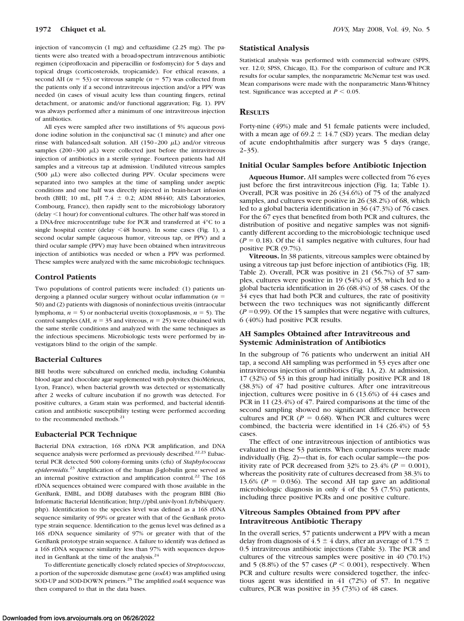injection of vancomycin (1 mg) and ceftazidime (2.25 mg). The patients were also treated with a broad-spectrum intravenous antibiotic regimen (ciprofloxacin and piperacillin or fosfomycin) for 5 days and topical drugs (corticosteroids, tropicamide). For ethical reasons, a second AH ( $n = 53$ ) or vitreous sample ( $n = 57$ ) was collected from the patients only if a second intravitreous injection and/or a PPV was needed (in cases of visual acuity less than counting fingers, retinal detachment, or anatomic and/or functional aggravation; Fig. 1). PPV was always performed after a minimum of one intravitreous injection of antibiotics.

All eyes were sampled after two instillations of 5% aqueous povidone iodine solution in the conjunctival sac (1 minute) and after one rinse with balanced-salt solution. AH (150-200  $\mu$ L) and/or vitreous samples  $(200 - 300 \mu L)$  were collected just before the intravitreous injection of antibiotics in a sterile syringe. Fourteen patients had AH samples and a vitreous tap at admission. Undiluted vitreous samples (500  $\mu$ L) were also collected during PPV. Ocular specimens were separated into two samples at the time of sampling under aseptic conditions and one half was directly injected in brain-heart infusion broth (BHI; 10 mL, pH 7.4  $\pm$  0.2; ADM 88440; AES Laboratories, Combourg, France), then rapidly sent to the microbiology laboratory (delay  $1$  hour) for conventional cultures. The other half was stored in a DNA-free microcentrifuge tube for PCR and transferred at 4°C to a single hospital center (delay  $\leq 48$  hours). In some cases (Fig. 1), a second ocular sample (aqueous humor, vitreous tap, or PPV) and a third ocular sample (PPV) may have been obtained when intravitreous injection of antibiotics was needed or when a PPV was performed. These samples were analyzed with the same microbiologic techniques.

# **Control Patients**

Two populations of control patients were included: (1) patients undergoing a planned ocular surgery without ocular inflammation  $(n =$ 50) and (2) patients with diagnosis of noninfectious uveitis (intraocular lymphoma,  $n = 5$ ) or nonbacterial uveitis (toxoplasmosis,  $n = 5$ ). The control samples (AH,  $n = 35$  and vitreous,  $n = 25$ ) were obtained with the same sterile conditions and analyzed with the same techniques as the infectious specimens. Microbiologic tests were performed by investigators blind to the origin of the sample.

#### **Bacterial Cultures**

BHI broths were subcultured on enriched media, including Columbia blood agar and chocolate agar supplemented with polyvitex (bioMérieux, Lyon, France), when bacterial growth was detected or systematically after 2 weeks of culture incubation if no growth was detected. For positive cultures, a Gram stain was performed, and bacterial identification and antibiotic susceptibility testing were performed according to the recommended methods.<sup>21</sup>

## **Eubacterial PCR Technique**

Bacterial DNA extraction, 16S rDNA PCR amplification, and DNA sequence analysis were performed as previously described.<sup>22,23</sup> Eubacterial PCR detected 500 colony-forming units (cfu) of *Staphylococcus* epidermidis.<sup>23</sup> Amplification of the human  $\beta$ -globulin gene served as an internal positive extraction and amplification control.<sup>22</sup> The 16S rDNA sequences obtained were compared with those available in the GenBank, EMBL, and DDBJ databases with the program BIBI (Bio Informatic Bacterial Identification; http://pbil.univ-lyon1.fr/bibi/query. php). Identification to the species level was defined as a 16S rDNA sequence similarity of 99% or greater with that of the GenBank prototype strain sequence. Identification to the genus level was defined as a 16S rDNA sequence similarity of 97% or greater with that of the GenBank prototype strain sequence. A failure to identify was defined as a 16S rDNA sequence similarity less than 97% with sequences deposited in GenBank at the time of the analysis.<sup>24</sup>

To differentiate genetically closely related species of *Streptococcus*, a portion of the superoxide dismutase gene (*sodA*) was amplified using SOD-UP and SOD-DOWN primers.25 The amplified *sodA* sequence was then compared to that in the data bases.

#### **Statistical Analysis**

Statistical analysis was performed with commercial software (SPPS, ver. 12.0; SPSS, Chicago, IL). For the comparison of culture and PCR results for ocular samples, the nonparametric McNemar test was used. Mean comparisons were made with the nonparametric Mann-Whitney test. Significance was accepted at  $P < 0.05$ .

# **RESULTS**

Forty-nine (49%) male and 51 female patients were included, with a mean age of 69.2  $\pm$  14.7 (SD) years. The median delay of acute endophthalmitis after surgery was 5 days (range,  $2-35$ ).

#### **Initial Ocular Samples before Antibiotic Injection**

**Aqueous Humor.** AH samples were collected from 76 eyes just before the first intravitreous injection (Fig. 1a; Table 1). Overall, PCR was positive in 26 (34.6%) of 75 of the analyzed samples, and cultures were positive in 26 (38.2%) of 68, which led to a global bacteria identification in 36 (47.3%) of 76 cases. For the 67 eyes that benefited from both PCR and cultures, the distribution of positive and negative samples was not significantly different according to the microbiologic technique used  $(P = 0.18)$ . Of the 41 samples negative with cultures, four had positive PCR (9.7%).

**Vitreous.** In 38 patients, vitreous samples were obtained by using a vitreous tap just before injection of antibiotics (Fig. 1B; Table 2). Overall, PCR was positive in 21 (56.7%) of 37 samples, cultures were positive in 19 (54%) of 35, which led to a global bacteria identification in 26 (68.4%) of 38 cases. Of the 34 eyes that had both PCR and cultures, the rate of positivity between the two techniques was not significantly different  $(P = 0.99)$ . Of the 15 samples that were negative with cultures, 6 (40%) had positive PCR results.

## **AH Samples Obtained after Intravitreous and Systemic Administration of Antibiotics**

In the subgroup of 76 patients who underwent an initial AH tap, a second AH sampling was performed in 53 eyes after one intravitreous injection of antibiotics (Fig. 1A, 2). At admission, 17 (32%) of 53 in this group had initially positive PCR and 18 (38.3%) of 47 had positive cultures. After one intravitreous injection, cultures were positive in 6 (13.6%) of 44 cases and PCR in 11 (23.4%) of 47. Paired comparisons at the time of the second sampling showed no significant difference between cultures and PCR  $(P = 0.68)$ . When PCR and cultures were combined, the bacteria were identified in 14 (26.4%) of 53 cases.

The effect of one intravitreous injection of antibiotics was evaluated in these 53 patients. When comparisons were made individually (Fig. 2)—that is, for each ocular sample—the positivity rate of PCR decreased from  $32\%$  to  $23.4\%$  ( $P = 0.001$ ), whereas the positivity rate of cultures decreased from 38.3% to 13.6% ( $P = 0.036$ ). The second AH tap gave an additional microbiologic diagnosis in only 4 of the 53 (7.5%) patients, including three positive PCRs and one positive culture.

# **Vitreous Samples Obtained from PPV after Intravitreous Antibiotic Therapy**

In the overall series, 57 patients underwent a PPV with a mean delay from diagnosis of 4.5  $\pm$  4 days, after an average of 1.75  $\pm$ 0.5 intravitreous antibiotic injections (Table 3). The PCR and cultures of the vitreous samples were positive in 40 (70.1%) and 5 (8.8%) of the 57 cases ( $P \le 0.001$ ), respectively. When PCR and culture results were considered together, the infectious agent was identified in 41 (72%) of 57. In negative cultures, PCR was positive in 35 (73%) of 48 cases.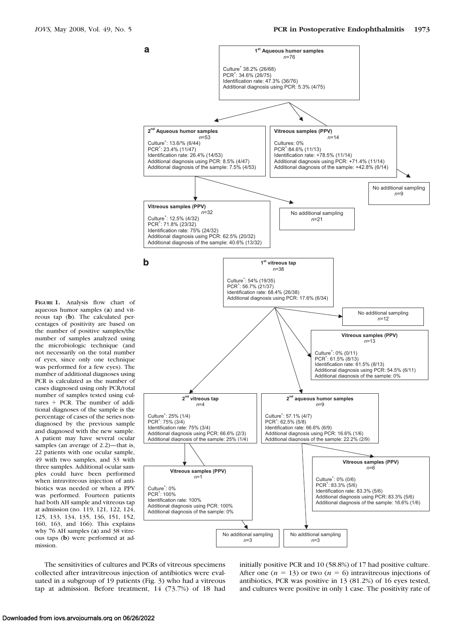

**FIGURE 1.** Analysis flow chart of aqueous humor samples (**a**) and vitreous tap (**b**). The calculated percentages of positivity are based on the number of positive samples/the number of samples analyzed using the microbiologic technique (and not necessarily on the total number of eyes, since only one technique was performed for a few eyes). The number of additional diagnoses using PCR is calculated as the number of cases diagnosed using only PCR/total number of samples tested using cultures + PCR. The number of additional diagnoses of the sample is the percentage of cases of the series nondiagnosed by the previous sample and diagnosed with the new sample. A patient may have several ocular samples (an average of 2.2)—that is, 22 patients with one ocular sample, 49 with two samples, and 33 with three samples. Additional ocular samples could have been performed when intravitreous injection of antibiotics was needed or when a PPV was performed. Fourteen patients had both AH sample and vitreous tap at admission (no. 119, 121, 122, 124, 125, 133, 134, 135, 136, 151, 152, 160, 163, and 166). This explains why 76 AH samples (**a**) and 38 vitreous taps (**b**) were performed at admission.

The sensitivities of cultures and PCRs of vitreous specimens collected after intravitreous injection of antibiotics were evaluated in a subgroup of 19 patients (Fig. 3) who had a vitreous tap at admission. Before treatment, 14 (73.7%) of 18 had initially positive PCR and 10 (58.8%) of 17 had positive culture. After one  $(n = 13)$  or two  $(n = 6)$  intravitreous injections of antibiotics, PCR was positive in 13 (81.2%) of 16 eyes tested, and cultures were positive in only 1 case. The positivity rate of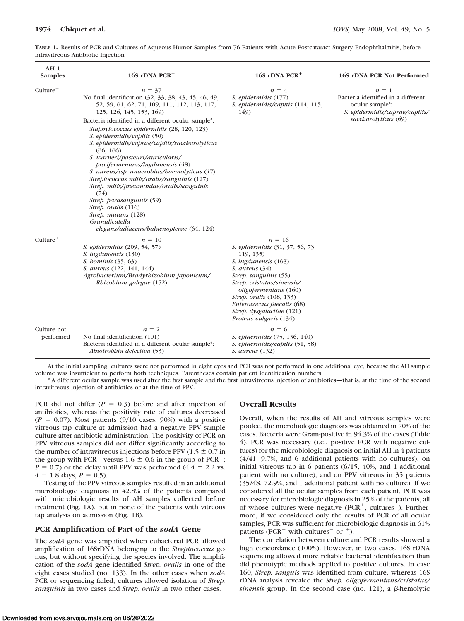| AH <sub>1</sub><br><b>Samples</b> | 16S rDNA PCR <sup>-</sup>                                                                                                                                                                                                                                                                                                                                                                                                                                                                                                                                      | 16S rDNA PCR <sup>+</sup>                                                                                                                                                                                                                                                                                    | <b>16S rDNA PCR Not Performed</b>                                                                  |
|-----------------------------------|----------------------------------------------------------------------------------------------------------------------------------------------------------------------------------------------------------------------------------------------------------------------------------------------------------------------------------------------------------------------------------------------------------------------------------------------------------------------------------------------------------------------------------------------------------------|--------------------------------------------------------------------------------------------------------------------------------------------------------------------------------------------------------------------------------------------------------------------------------------------------------------|----------------------------------------------------------------------------------------------------|
| Culture <sup>-</sup>              | $n = 37$<br>No final identification (32, 33, 38, 43, 45, 46, 49,<br>52, 59, 61, 62, 71, 109, 111, 112, 113, 117,<br>125, 126, 145, 153, 169)                                                                                                                                                                                                                                                                                                                                                                                                                   | $n = 4$<br>S. epidermidis (177)<br>S. epidermidis/capitis (114, 115,<br>149)                                                                                                                                                                                                                                 | $n = 1$<br>Bacteria identified in a different<br>ocular sample*:<br>S. epidermidis/caprae/capitis/ |
|                                   | Bacteria identified in a different ocular sample*:<br>Staphylococcus epidermidis (28, 120, 123)<br>S. epidermidis/capitis (50)<br>S. epidermidis/caprae/capitis/saccbarolyticus<br>(66, 166)<br>S. warneri/pasteuri/auricularis/<br>piscifermentans/lugdunensis (48)<br>S. aureus/ssp. anaerobius/baemolyticus (47)<br>Streptococcus mitis/oralis/sanguinis (127)<br>Strep. mitis/pneumoniae/oralis/sanguinis<br>(74)<br>Strep. parasanguinis (59)<br>Strep. oralis (116)<br>Strep. mutans (128)<br>Granulicatella<br>elegans/adiacens/balaenopterae (64, 124) |                                                                                                                                                                                                                                                                                                              | saccharolyticus (69)                                                                               |
| $Culture+$                        | $n = 10$<br>S. epidermidis (209, 54, 57)<br>S. lugdunensis (130)<br><i>S. bominis</i> (35, 63)<br>S. aureus (122, 141, 144)<br>Agrobacterium/Bradyrbizobium japonicum/<br>Rhizobium galegae (152)                                                                                                                                                                                                                                                                                                                                                              | $n = 16$<br>S. epidermidis (31, 37, 56, 73,<br>119, 135)<br>S. lugdunensis (163)<br>S. aureus $(34)$<br>Strep. sanguinis (55)<br>Strep. cristatus/sinensis/<br><i>oligofermentans</i> (160)<br>Strep. oralis (108, 133)<br>Enterococcus faecalis (68)<br>Strep. dysgalactiae (121)<br>Proteus vulgaris (134) |                                                                                                    |
| Culture not<br>performed          | $n = 2$<br>No final identification (101)<br>Bacteria identified in a different ocular sample*:<br>Abiotrophia defectiva (53)                                                                                                                                                                                                                                                                                                                                                                                                                                   | $n = 6$<br>S. epidermidis (75, 136, 140)<br>S. epidermidis/capitis (51, 58)<br><i>S. aureus</i> (132)                                                                                                                                                                                                        |                                                                                                    |

**TABLE 1.** Results of PCR and Cultures of Aqueous Humor Samples from 76 Patients with Acute Postcataract Surgery Endophthalmitis, before Intravitreous Antibiotic Injection

At the initial sampling, cultures were not performed in eight eyes and PCR was not performed in one additional eye, because the AH sample volume was insufficient to perform both techniques. Parentheses contain patient identification numbers.

\* A different ocular sample was used after the first sample and the first intravitreous injection of antibiotics—that is, at the time of the second intravitreous injection of antibiotics or at the time of PPV.

PCR did not differ  $(P = 0.3)$  before and after injection of antibiotics, whereas the positivity rate of cultures decreased  $(P = 0.07)$ . Most patients (9/10 cases, 90%) with a positive vitreous tap culture at admission had a negative PPV sample culture after antibiotic administration. The positivity of PCR on PPV vitreous samples did not differ significantly according to the number of intravitreous injections before PPV (1.5  $\pm$  0.7 in the group with PCR<sup>-</sup> versus 1.6  $\pm$  0.6 in the group of PCR<sup>+</sup>;  $P = 0.7$ ) or the delay until PPV was performed  $(4.4 \pm 2.2 \text{ vs.})$  $4 \pm 1.8$  days,  $P = 0.5$ ).

Testing of the PPV vitreous samples resulted in an additional microbiologic diagnosis in 42.8% of the patients compared with microbiologic results of AH samples collected before treatment (Fig. 1A), but in none of the patients with vitreous tap analysis on admission (Fig. 1B).

## **PCR Amplification of Part of the** *sodA* **Gene**

The *sodA* gene was amplified when eubacterial PCR allowed amplification of 16SrDNA belonging to the *Streptococcus* genus, but without specifying the species involved. The amplification of the *sodA* gene identified *Strep. oralis* in one of the eight cases studied (no. 133). In the other cases when *sodA* PCR or sequencing failed, cultures allowed isolation of *Strep. sanguinis* in two cases and *Strep. oralis* in two other cases.

#### **Overall Results**

Overall, when the results of AH and vitreous samples were pooled, the microbiologic diagnosis was obtained in 70% of the cases. Bacteria were Gram-positive in 94.3% of the cases (Table 4). PCR was necessary (i.e., positive PCR with negative cultures) for the microbiologic diagnosis on initial AH in 4 patients (4/41, 9.7%, and 6 additional patients with no cultures), on initial vitreous tap in 6 patients (6/15, 40%, and 1 additional patient with no culture), and on PPV vitreous in 35 patients (35/48, 72.9%, and 1 additional patient with no culture). If we considered all the ocular samples from each patient, PCR was necessary for microbiologic diagnosis in 25% of the patients, all of whose cultures were negative ( $PCR^+$ , cultures<sup>-</sup>). Furthermore, if we considered only the results of PCR of all ocular samples, PCR was sufficient for microbiologic diagnosis in 61% patients (PCR<sup>+</sup> with cultures<sup>-</sup> or <sup>+</sup>).

The correlation between culture and PCR results showed a high concordance (100%). However, in two cases, 16S rDNA sequencing allowed more reliable bacterial identification than did phenotypic methods applied to positive cultures. In case 160, *Strep. sanguis* was identified from culture, whereas 16S rDNA analysis revealed the *Strep. oligofermentans/cristatus/*  $sinensis$  group. In the second case (no. 121), a  $\beta$ -hemolytic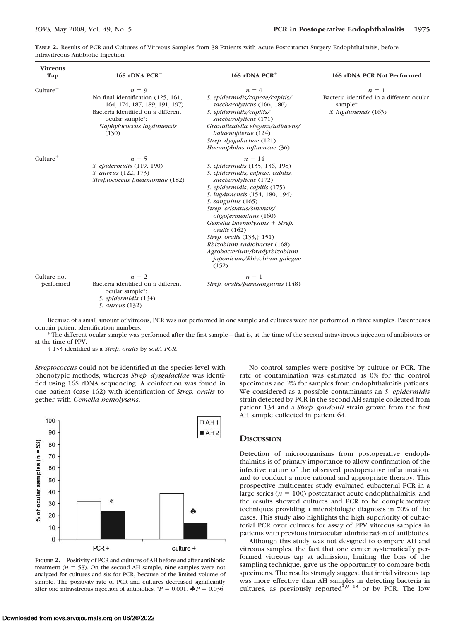| TABLE 2. Results of PCR and Cultures of Vitreous Samples from 38 Patients with Acute Postcataract Surgery Endophthalmitis, before |  |  |  |
|-----------------------------------------------------------------------------------------------------------------------------------|--|--|--|
| Intravitreous Antibiotic Injection                                                                                                |  |  |  |

| <b>Vitreous</b><br>Tap   | 16S rDNA PCR <sup>-</sup>                                                                                                                                                      | 16S rDNA $PCR+$                                                                                                                                                                                                                                                                                                                                                                                                                             | 16S rDNA PCR Not Performed                                                                            |
|--------------------------|--------------------------------------------------------------------------------------------------------------------------------------------------------------------------------|---------------------------------------------------------------------------------------------------------------------------------------------------------------------------------------------------------------------------------------------------------------------------------------------------------------------------------------------------------------------------------------------------------------------------------------------|-------------------------------------------------------------------------------------------------------|
| Culture                  | $n = 9$<br>No final identification (125, 161,<br>164, 174, 187, 189, 191, 197)<br>Bacteria identified on a different<br>ocular sample*:<br>Staphylococcus lugdunensis<br>(130) | $n = 6$<br>S. epidermidis/caprae/capitis/<br>saccharolyticus (166, 186)<br>S. epidermidis/capitis/<br>saccharolyticus (171)<br>Granulicatella elegans/adiacens/<br>balaenopterae (124)<br>Strep. dysgalactiae (121)<br>Haemophilus influenzae (36)                                                                                                                                                                                          | $n = 1$<br>Bacteria identified in a different ocular<br>sample <sup>*</sup> :<br>S. lugdunensis (163) |
| $Culture^+$              | $n = 5$<br>S. epidermidis (119, 190)<br>S. aureus (122, 173)<br>Streptococcus pneumoniae (182)                                                                                 | $n = 14$<br>S. epidermidis (135, 136, 198)<br>S. epidermidis, caprae, capitis,<br>saccharolyticus (172)<br>S. epidermidis, capitis (175)<br>S. lugdunensis (154, 180, 194)<br>S. sanguinis (165)<br>Strep. cristatus/sinensis/<br>oligofermentans (160)<br>Gemella baemolysans + Strep.<br>oralis (162)<br>Strep. oralis (133,† 151)<br>Rhizobium radiobacter (168)<br>Agrobacterium/bradyrbizobium<br>japonicum/Rhizobium galegae<br>(152) |                                                                                                       |
| Culture not<br>performed | $n = 2$<br>Bacteria identified on a different<br>ocular sample*:<br>S. epidermidis (134)<br><i>S. aureus</i> (132)                                                             | $n = 1$<br>Strep. oralis/parasanguinis (148)                                                                                                                                                                                                                                                                                                                                                                                                |                                                                                                       |

Because of a small amount of vitreous, PCR was not performed in one sample and cultures were not performed in three samples. Parentheses contain patient identification numbers.

\* The different ocular sample was performed after the first sample—that is, at the time of the second intravitreous injection of antibiotics or at the time of PPV.

† 133 identified as a *Strep. oralis* by *sodA PCR.*

*Streptococcus* could not be identified at the species level with phenotypic methods, whereas *Strep. dysgalactiae* was identified using 16S rDNA sequencing. A coinfection was found in one patient (case 162) with identification of *Strep. oralis* together with *Gemella hemolysans*.



**FIGURE 2.** Positivity of PCR and cultures of AH before and after antibiotic treatment  $(n = 53)$ . On the second AH sample, nine samples were not analyzed for cultures and six for PCR, because of the limited volume of sample. The positivity rate of PCR and cultures decreased significantly after one intravitreous injection of antibiotics.  ${}^*P = 0.001$ .  ${}^{\clubsuit}P = 0.036$ .

No control samples were positive by culture or PCR. The rate of contamination was estimated as 0% for the control specimens and 2% for samples from endophthalmitis patients. We considered as a possible contaminants an *S*. *epidermidis* strain detected by PCR in the second AH sample collected from patient 134 and a *Strep. gordonii* strain grown from the first AH sample collected in patient 64.

# **DISCUSSION**

Detection of microorganisms from postoperative endophthalmitis is of primary importance to allow confirmation of the infective nature of the observed postoperative inflammation, and to conduct a more rational and appropriate therapy. This prospective multicenter study evaluated eubacterial PCR in a large series  $(n = 100)$  postcataract acute endophthalmitis, and the results showed cultures and PCR to be complementary techniques providing a microbiologic diagnosis in 70% of the cases. This study also highlights the high superiority of eubacterial PCR over cultures for assay of PPV vitreous samples in patients with previous intraocular administration of antibiotics.

Although this study was not designed to compare AH and vitreous samples, the fact that one center systematically performed vitreous tap at admission, limiting the bias of the sampling technique, gave us the opportunity to compare both specimens. The results strongly suggest that initial vitreous tap was more effective than AH samples in detecting bacteria in cultures, as previously reported<sup>3,9-13</sup> or by PCR. The low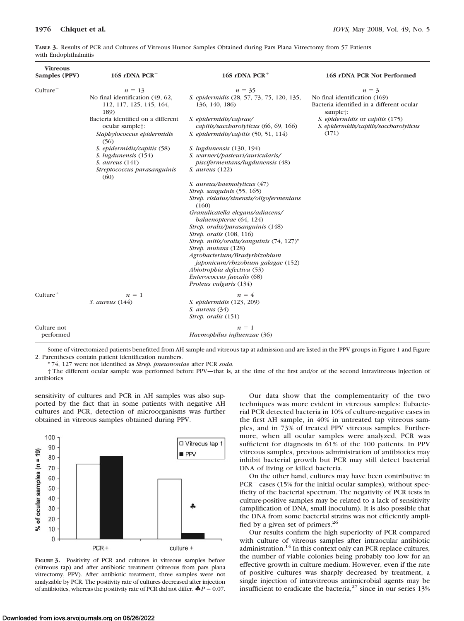| <b>Vitreous</b><br>Samples (PPV) | 16S rDNA PCR <sup>-</sup>                                                                                                                                                                                                                                                                            | $16S$ rDNA PCR <sup>+</sup>                                                                                                                                                                                                                                                                                                                                                                                                                                                                                                                                                                                                                   | 16S rDNA PCR Not Performed                                                                                                                                                                           |
|----------------------------------|------------------------------------------------------------------------------------------------------------------------------------------------------------------------------------------------------------------------------------------------------------------------------------------------------|-----------------------------------------------------------------------------------------------------------------------------------------------------------------------------------------------------------------------------------------------------------------------------------------------------------------------------------------------------------------------------------------------------------------------------------------------------------------------------------------------------------------------------------------------------------------------------------------------------------------------------------------------|------------------------------------------------------------------------------------------------------------------------------------------------------------------------------------------------------|
| Culture <sup>-</sup>             | $n = 13$<br>No final identification (49, 62,<br>112, 117, 125, 145, 164,<br>189)<br>Bacteria identified on a different<br>ocular sample†:<br>Staphylococcus epidermidis<br>(56)<br>S. epidermidis/capitis (58)<br>S. lugdunensis (154)<br>$S.$ aureus $(141)$<br>Streptococcus parasanguinis<br>(60) | $n = 35$<br>S. epidermidis (28, 57, 73, 75, 120, 135,<br>136, 140, 186)<br>S. epidermidis/caprae/<br>capitis/saccharolyticus (66, 69, 166)<br>S. epidermidis/capitis (50, 51, 114)<br>S. <i>lugdunensis</i> (130, 194)<br>S. warneri/pasteuri/auricularis/<br>piscifermentans/lugdunensis (48)<br>S. aureus (122)<br>S. aureus/baemolyticus (47)<br>Strep. sanguinis (55, 165)<br>Strep. ristatus/sinensis/oligofermentans<br>(160)<br>Granulicatella elegans/adiacens/<br>balaenopterae (64, 124)<br>Strep. oralis/parasanguinis (148)<br><i>Strep. oralis</i> (108, 116)<br>Strep. mitis/oralis/sanguinis (74, 127)*<br>Strep. mutans (128) | $n = 3$<br>No final identification (169)<br>Bacteria identified in a different ocular<br>sample <sup>†</sup> :<br>S. epidermidis or capitis (175)<br>S. epidermidis/capitis/saccharolyticus<br>(171) |
| $Culture^+$                      | $n = 1$                                                                                                                                                                                                                                                                                              | Agrobacterium/Bradyrbizobium<br>japonicum/rbizobium galagae (152)<br>Abiotrophia defectiva (53)<br>Enterococcus faecalis (68)<br>Proteus vulgaris (134)<br>$n = 4$                                                                                                                                                                                                                                                                                                                                                                                                                                                                            |                                                                                                                                                                                                      |
|                                  | S. aureus (144)                                                                                                                                                                                                                                                                                      | S. epidermidis (123, 209)<br>$S.$ aureus $(34)$<br>Strep. oralis (151)                                                                                                                                                                                                                                                                                                                                                                                                                                                                                                                                                                        |                                                                                                                                                                                                      |
| Culture not<br>performed         |                                                                                                                                                                                                                                                                                                      | $n = 1$<br>Haemophilus influenzae (36)                                                                                                                                                                                                                                                                                                                                                                                                                                                                                                                                                                                                        |                                                                                                                                                                                                      |

**TABLE 3.** Results of PCR and Cultures of Vitreous Humor Samples Obtained during Pars Plana Vitrectomy from 57 Patients with Endophthalmitis

Some of vitrectomized patients benefitted from AH sample and vitreous tap at admission and are listed in the PPV groups in Figure 1 and Figure 2. Parentheses contain patient identification numbers.

\* 74, 127 were not identified as *Strep. pneumoniae* after PCR *soda.*

† The different ocular sample was performed before PPV—that is, at the time of the first and/or of the second intravitreous injection of antibiotics

sensitivity of cultures and PCR in AH samples was also supported by the fact that in some patients with negative AH cultures and PCR, detection of microorganisms was further obtained in vitreous samples obtained during PPV.



**FIGURE 3.** Positivity of PCR and cultures in vitreous samples before (vitreous tap) and after antibiotic treatment (vitreous from pars plana vitrectomy, PPV). After antibiotic treatment, three samples were not analyzable by PCR. The positivity rate of cultures decreased after injection of antibiotics, whereas the positivity rate of PCR did not differ.  $\clubsuit P = 0.07$ .

Our data show that the complementarity of the two techniques was more evident in vitreous samples: Eubacterial PCR detected bacteria in 10% of culture-negative cases in the first AH sample, in 40% in untreated tap vitreous samples, and in 73% of treated PPV vitreous samples. Furthermore, when all ocular samples were analyzed, PCR was sufficient for diagnosis in 61% of the 100 patients. In PPV vitreous samples, previous administration of antibiotics may inhibit bacterial growth but PCR may still detect bacterial DNA of living or killed bacteria.

On the other hand, cultures may have been contributive in  $PCR<sup>-</sup> cases (15% for the initial ocular samples), without spec$ ificity of the bacterial spectrum. The negativity of PCR tests in culture-positive samples may be related to a lack of sensitivity (amplification of DNA, small inoculum). It is also possible that the DNA from some bacterial strains was not efficiently amplified by a given set of primers.26

Our results confirm the high superiority of PCR compared with culture of vitreous samples after intraocular antibiotic administration.<sup>14</sup> In this context only can PCR replace cultures, the number of viable colonies being probably too low for an effective growth in culture medium. However, even if the rate of positive cultures was sharply decreased by treatment, a single injection of intravitreous antimicrobial agents may be insufficient to eradicate the bacteria, $27$  since in our series  $13%$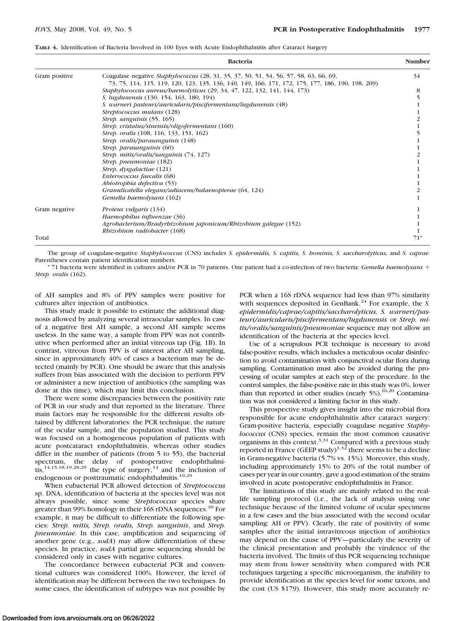| TABLE 4. Identification of Bacteria Involved in 100 Eyes with Acute Endophthalmitis after Cataract Surgery |  |  |
|------------------------------------------------------------------------------------------------------------|--|--|
|------------------------------------------------------------------------------------------------------------|--|--|

|               | <b>Bacteria</b>                                                                                                                                                                                    | Number |
|---------------|----------------------------------------------------------------------------------------------------------------------------------------------------------------------------------------------------|--------|
| Gram positive | Coagulase negative <i>Staphylococcus</i> (28, 31, 35, 37, 50, 51, 54, 56, 57, 58, 63, 66, 69,<br>73, 75, 114, 115, 119, 120, 123, 135, 136, 140, 149, 166, 171, 172, 175, 177, 186, 190, 198, 209) | 34     |
|               | Staphylococcus aureus/haemolyticus (29, 34, 47, 122, 132, 141, 144, 173)                                                                                                                           | 8      |
|               | S. lugdunensis (130, 154, 163, 180, 194)                                                                                                                                                           |        |
|               | S. warneri pasteuri/auricularis/piscifermentans/lugdunensis (48)                                                                                                                                   |        |
|               | Streptococcus mutans (128)                                                                                                                                                                         |        |
|               | Strep. sanguinis (55, 165)                                                                                                                                                                         |        |
|               | Strep. cristatus/sinensis/oligofermentans (160)                                                                                                                                                    |        |
|               | Strep. oralis (108, 116, 133, 151, 162)                                                                                                                                                            |        |
|               | Strep. oralis/parasanguinis (148)                                                                                                                                                                  |        |
|               | Strep. parasanguinis (60)                                                                                                                                                                          |        |
|               | Strep. mitis/oralis/sanguinis (74, 127)                                                                                                                                                            |        |
|               | Strep. pneumoniae (182)                                                                                                                                                                            |        |
|               | Strep. dysgalactiae (121)                                                                                                                                                                          |        |
|               | Enterococcus faecalis (68)                                                                                                                                                                         |        |
|               | Abiotrophia defectiva (53)                                                                                                                                                                         |        |
|               | Granulicatella elegans/adiacens/balaenopterae (64, 124)                                                                                                                                            |        |
|               | Gemella baemolysans (162)                                                                                                                                                                          |        |
| Gram negative | Proteus vulgaris (134)                                                                                                                                                                             |        |
|               | Haemophilus influenzae (36)                                                                                                                                                                        |        |
|               | Agrobacterium/Bradyrbizobium japonicum/Rhizobium galegae (152)                                                                                                                                     |        |
|               | Rhizobium radiobacter (168)                                                                                                                                                                        |        |
| Total         |                                                                                                                                                                                                    | 71*    |

The group of coagulase-negative *Staphylococcus* (CNS) includes *S. epidermidis, S. capitis, S. hominis, S. saccharolyticus,* and *S. caprae.* Parentheses contain patient identification numbers.

\* 71 bacteria were identified in cultures and/or PCR in 70 patients. One patient had a co-infection of two bacteria: *Gemella haemolysans Strep. oralis* (162).

of AH samples and 8% of PPV samples were positive for cultures after injection of antibiotics.

This study made it possible to estimate the additional diagnosis allowed by analyzing several intraocular samples. In case of a negative first AH sample, a second AH sample seems useless. In the same way, a sample from PPV was not contributive when performed after an initial vitreous tap (Fig. 1B). In contrast, vitreous from PPV is of interest after AH sampling, since in approximately 40% of cases a bacterium may be detected (mainly by PCR). One should be aware that this analysis suffers from bias associated with the decision to perform PPV or administer a new injection of antibiotics (the sampling was done at this time), which may limit this conclusion.

There were some discrepancies between the positivity rate of PCR in our study and that reported in the literature. Three main factors may be responsible for the different results obtained by different laboratories: the PCR technique, the nature of the ocular sample, and the population studied. This study was focused on a homogeneous population of patients with acute postcataract endophthalmitis, whereas other studies differ in the number of patients (from 5 to 55), the bacterial spectrum, the delay of postoperative endophthalmitis,<sup>14,15,18,19,28,29</sup> the type of surgery,<sup>14</sup> and the inclusion of endogenous or posttraumatic endophthalmitis.<sup>19,29</sup>

When eubacterial PCR allowed detection of *Streptococcus* sp. DNA, identification of bacteria at the species level was not always possible, since some *Streptococcus* species share greater than 99% homology in their 16S rDNA sequences.<sup>30</sup> For example, it may be difficult to differentiate the following species: *Strep. mitis, Strep. oralis, Strep. sanguinis*, and *Strep. pneumoniae*. In this case, amplification and sequencing of another gene (e.g., *sodA*) may allow differentiation of these species. In practice, *sodA* partial gene sequencing should be considered only in cases with negative cultures.

The concordance between eubacterial PCR and conventional cultures was considered 100%. However, the level of identification may be different between the two techniques. In some cases, the identification of subtypes was not possible by PCR when a 16S rDNA sequence had less than 97% similarity with sequences deposited in GenBank.<sup>24</sup> For example, the *S*. *epidermidis/caprae/capitis/saccharolyticus, S. warneri/pasteuri/auricularis/piscifermentans/lugdunensis* or *Strep. mitis/oralis/sanguinis/pneumoniae* sequence may not allow an identification of the bacteria at the species level.

Use of a scrupulous PCR technique is necessary to avoid false-positive results, which includes a meticulous ocular disinfection to avoid contamination with conjunctival ocular flora during sampling. Contamination must also be avoided during the processing of ocular samples at each step of the procedure. In the control samples, the false-positive rate in this study was 0%, lower than that reported in other studies (nearly  $5\%$ ).<sup>16,20</sup> Contamination was not considered a limiting factor in this study.

This prospective study gives insight into the microbial flora responsible for acute endophthalmitis after cataract surgery: Gram-positive bacteria, especially coagulase negative *Staphylococcus* (CNS) species, remain the most common causative organisms in this context.<sup>3,31</sup> Compared with a previous study reported in France (GEEP study)<sup>1,32</sup> there seems to be a decline in Gram-negative bacteria (5.7% vs. 15%). Moreover, this study, including approximately 15% to 20% of the total number of cases per year in our country, gave a good estimation of the strains involved in acute postoperative endophthalmitis in France.

The limitations of this study are mainly related to the reallife sampling protocol (i.e., the lack of analysis using one technique because of the limited volume of ocular specimens in a few cases and the bias associated with the second ocular sampling: AH or PPV). Clearly, the rate of positivity of some samples after the initial intravitreous injection of antibiotics may depend on the cause of PPV—particularly the severity of the clinical presentation and probably the virulence of the bacteria involved. The limits of this PCR sequencing technique may stem from lower sensitivity when compared with PCR techniques targeting a specific microorganism, the inability to provide identification at the species level for some taxons, and the cost (US \$179). However, this study more accurately re-